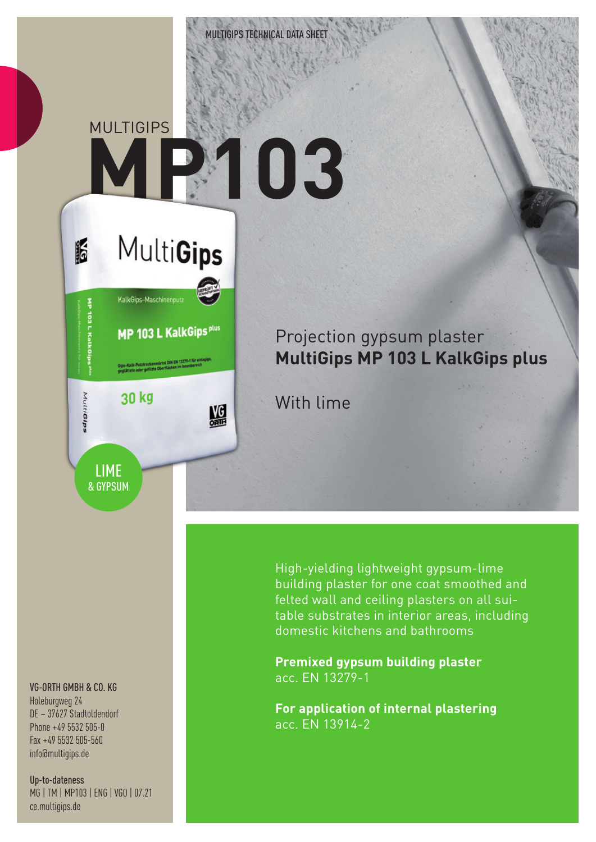**MULTIGIPS** 

**MultiGips** 

MP 103 L KalkGips plus

MG

Gips-Kalk-Putztrockenmörtel DIN EN 13279-1 für ein<br>geglättete oder geflizte Oberflächen im Innenbereich

30 kg

KalkGips-Maschinenput

## **MP103**

## Projection gypsum plaster **MultiGips MP 103 L KalkGips plus**

With lime

VG-ORTH GMBH & CO. KG

LIME & GYPSUM

**IF** 

MutiGips

Holeburgweg 24 DE – 37627 Stadtoldendorf Phone +49 5532 505-0 Fax +49 5532 505-560 info@multigips.de

Up-to-dateness MG | TM | MP103 | ENG | VGO | 07.21 ce.multigips.de

High-yielding lightweight gypsum-lime building plaster for one coat smoothed and felted wall and ceiling plasters on all suitable substrates in interior areas, including domestic kitchens and bathrooms

**Premixed gypsum building plaster** acc. EN 13279-1

**For application of internal plastering** acc. EN 13914-2